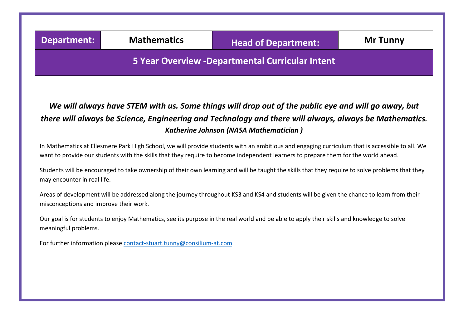## **Department: Mathematics Head of Department:** Mr Tunny  **5 Year Overview -Departmental Curricular Intent**

## *We will always have STEM with us. Some things will drop out of the public eye and will go away, but there will always be Science, Engineering and Technology and there will always, always be Mathematics. Katherine Johnson (NASA Mathematician )*

 want to provide our students with the skills that they require to become independent learners to prepare them for the world ahead. In Mathematics at Ellesmere Park High School, we will provide students with an ambitious and engaging curriculum that is accessible to all. We

Students will be encouraged to take ownership of their own learning and will be taught the skills that they require to solve problems that they may encounter in real life.

Areas of development will be addressed along the journey throughout KS3 and KS4 and students will be given the chance to learn from their misconceptions and improve their work.

Our goal is for students to enjoy Mathematics, see its purpose in the real world and be able to apply their skills and knowledge to solve meaningful problems.

For further information please [contact-stuart.tunny@consilium-at.com](mailto:contact-stuart.tunny@consilium-at.com)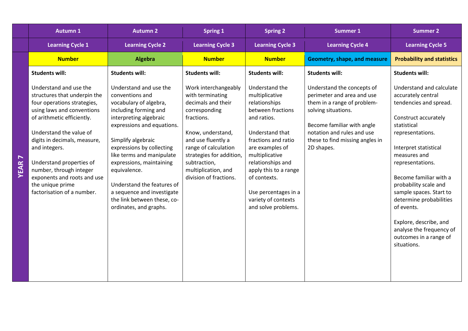|     | <b>Autumn 1</b>                                                                                                                                                                                                                                                                                                                                                       | <b>Autumn 2</b>                                                                                                                                                                                                                                                                                                                                                                                       | <b>Spring 1</b>                                                                                                                                                                                                                                               | <b>Spring 2</b>                                                                                                                                                                                                                                                                                          | <b>Summer 1</b>                                                                                                                                                                                                             | <b>Summer 2</b>                                                                                                                                                                                                                                                                                                                                                                                                        |
|-----|-----------------------------------------------------------------------------------------------------------------------------------------------------------------------------------------------------------------------------------------------------------------------------------------------------------------------------------------------------------------------|-------------------------------------------------------------------------------------------------------------------------------------------------------------------------------------------------------------------------------------------------------------------------------------------------------------------------------------------------------------------------------------------------------|---------------------------------------------------------------------------------------------------------------------------------------------------------------------------------------------------------------------------------------------------------------|----------------------------------------------------------------------------------------------------------------------------------------------------------------------------------------------------------------------------------------------------------------------------------------------------------|-----------------------------------------------------------------------------------------------------------------------------------------------------------------------------------------------------------------------------|------------------------------------------------------------------------------------------------------------------------------------------------------------------------------------------------------------------------------------------------------------------------------------------------------------------------------------------------------------------------------------------------------------------------|
|     | <b>Learning Cycle 1</b>                                                                                                                                                                                                                                                                                                                                               | <b>Learning Cycle 2</b>                                                                                                                                                                                                                                                                                                                                                                               | <b>Learning Cycle 3</b>                                                                                                                                                                                                                                       | <b>Learning Cycle 3</b>                                                                                                                                                                                                                                                                                  | <b>Learning Cycle 4</b>                                                                                                                                                                                                     | <b>Learning Cycle 5</b>                                                                                                                                                                                                                                                                                                                                                                                                |
|     | <b>Number</b>                                                                                                                                                                                                                                                                                                                                                         | Algebra                                                                                                                                                                                                                                                                                                                                                                                               | <b>Number</b>                                                                                                                                                                                                                                                 | <b>Number</b>                                                                                                                                                                                                                                                                                            | Geometry, shape, and measure                                                                                                                                                                                                | <b>Probability and statistics</b>                                                                                                                                                                                                                                                                                                                                                                                      |
|     | <b>Students will:</b>                                                                                                                                                                                                                                                                                                                                                 | <b>Students will:</b>                                                                                                                                                                                                                                                                                                                                                                                 | <b>Students will:</b>                                                                                                                                                                                                                                         | <b>Students will:</b>                                                                                                                                                                                                                                                                                    | <b>Students will:</b>                                                                                                                                                                                                       | <b>Students will:</b>                                                                                                                                                                                                                                                                                                                                                                                                  |
| EAR | Understand and use the<br>structures that underpin the<br>four operations strategies,<br>using laws and conventions<br>of arithmetic efficiently.<br>Understand the value of<br>digits in decimals, measure,<br>and integers.<br>Understand properties of<br>number, through integer<br>exponents and roots and use<br>the unique prime<br>factorisation of a number. | Understand and use the<br>conventions and<br>vocabulary of algebra,<br>including forming and<br>interpreting algebraic<br>expressions and equations.<br>Simplify algebraic<br>expressions by collecting<br>like terms and manipulate<br>expressions, maintaining<br>equivalence.<br>Understand the features of<br>a sequence and investigate<br>the link between these, co-<br>ordinates, and graphs. | Work interchangeably<br>with terminating<br>decimals and their<br>corresponding<br>fractions.<br>Know, understand,<br>and use fluently a<br>range of calculation<br>strategies for addition,<br>subtraction,<br>multiplication, and<br>division of fractions. | Understand the<br>multiplicative<br>relationships<br>between fractions<br>and ratios.<br>Understand that<br>fractions and ratio<br>are examples of<br>multiplicative<br>relationships and<br>apply this to a range<br>of contexts.<br>Use percentages in a<br>variety of contexts<br>and solve problems. | Understand the concepts of<br>perimeter and area and use<br>them in a range of problem-<br>solving situations.<br>Become familiar with angle<br>notation and rules and use<br>these to find missing angles in<br>2D shapes. | Understand and calculate<br>accurately central<br>tendencies and spread.<br>Construct accurately<br>statistical<br>representations.<br>Interpret statistical<br>measures and<br>representations.<br>Become familiar with a<br>probability scale and<br>sample spaces. Start to<br>determine probabilities<br>of events.<br>Explore, describe, and<br>analyse the frequency of<br>outcomes in a range of<br>situations. |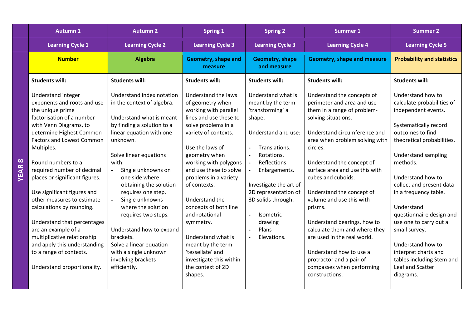|                  | <b>Autumn 1</b>                                                                                                                                                                                                                                                                                                                                                                                                                                                                                                                                                           | <b>Autumn 2</b>                                                                                                                                                                                                                                                                                                                                                                                                                                                                                           | <b>Spring 1</b>                                                                                                                                                                                                                                                                                                                                                                                                                                                               | <b>Spring 2</b>                                                                                                                                                                                                                                                                                               | <b>Summer 1</b>                                                                                                                                                                                                                                                                                                                                                                                                                                                                                                                                            | <b>Summer 2</b>                                                                                                                                                                                                                                                                                                                                                                                                                                                       |
|------------------|---------------------------------------------------------------------------------------------------------------------------------------------------------------------------------------------------------------------------------------------------------------------------------------------------------------------------------------------------------------------------------------------------------------------------------------------------------------------------------------------------------------------------------------------------------------------------|-----------------------------------------------------------------------------------------------------------------------------------------------------------------------------------------------------------------------------------------------------------------------------------------------------------------------------------------------------------------------------------------------------------------------------------------------------------------------------------------------------------|-------------------------------------------------------------------------------------------------------------------------------------------------------------------------------------------------------------------------------------------------------------------------------------------------------------------------------------------------------------------------------------------------------------------------------------------------------------------------------|---------------------------------------------------------------------------------------------------------------------------------------------------------------------------------------------------------------------------------------------------------------------------------------------------------------|------------------------------------------------------------------------------------------------------------------------------------------------------------------------------------------------------------------------------------------------------------------------------------------------------------------------------------------------------------------------------------------------------------------------------------------------------------------------------------------------------------------------------------------------------------|-----------------------------------------------------------------------------------------------------------------------------------------------------------------------------------------------------------------------------------------------------------------------------------------------------------------------------------------------------------------------------------------------------------------------------------------------------------------------|
|                  | <b>Learning Cycle 1</b>                                                                                                                                                                                                                                                                                                                                                                                                                                                                                                                                                   | <b>Learning Cycle 2</b>                                                                                                                                                                                                                                                                                                                                                                                                                                                                                   | <b>Learning Cycle 3</b>                                                                                                                                                                                                                                                                                                                                                                                                                                                       | <b>Learning Cycle 3</b>                                                                                                                                                                                                                                                                                       | <b>Learning Cycle 4</b>                                                                                                                                                                                                                                                                                                                                                                                                                                                                                                                                    | <b>Learning Cycle 5</b>                                                                                                                                                                                                                                                                                                                                                                                                                                               |
|                  | <b>Number</b>                                                                                                                                                                                                                                                                                                                                                                                                                                                                                                                                                             | Algebra                                                                                                                                                                                                                                                                                                                                                                                                                                                                                                   | Geometry, shape and<br>measure                                                                                                                                                                                                                                                                                                                                                                                                                                                | <b>Geometry, shape</b><br>and measure                                                                                                                                                                                                                                                                         | <b>Geometry, shape and measure</b>                                                                                                                                                                                                                                                                                                                                                                                                                                                                                                                         | <b>Probability and statistics</b>                                                                                                                                                                                                                                                                                                                                                                                                                                     |
|                  | <b>Students will:</b>                                                                                                                                                                                                                                                                                                                                                                                                                                                                                                                                                     | <b>Students will:</b>                                                                                                                                                                                                                                                                                                                                                                                                                                                                                     | <b>Students will:</b>                                                                                                                                                                                                                                                                                                                                                                                                                                                         | <b>Students will:</b>                                                                                                                                                                                                                                                                                         | <b>Students will:</b>                                                                                                                                                                                                                                                                                                                                                                                                                                                                                                                                      | <b>Students will:</b>                                                                                                                                                                                                                                                                                                                                                                                                                                                 |
| $\infty$<br>YEAR | Understand integer<br>exponents and roots and use<br>the unique prime<br>factorisation of a number<br>with Venn Diagrams, to<br>determine Highest Common<br><b>Factors and Lowest Common</b><br>Multiples.<br>Round numbers to a<br>required number of decimal<br>places or significant figures.<br>Use significant figures and<br>other measures to estimate<br>calculations by rounding.<br>Understand that percentages<br>are an example of a<br>multiplicative relationship<br>and apply this understanding<br>to a range of contexts.<br>Understand proportionality. | Understand index notation<br>in the context of algebra.<br>Understand what is meant<br>by finding a solution to a<br>linear equation with one<br>unknown.<br>Solve linear equations<br>with:<br>Single unknowns on<br>$\blacksquare$<br>one side where<br>obtaining the solution<br>requires one step.<br>Single unknowns<br>where the solution<br>requires two steps.<br>Understand how to expand<br>brackets.<br>Solve a linear equation<br>with a single unknown<br>involving brackets<br>efficiently. | Understand the laws<br>of geometry when<br>working with parallel<br>lines and use these to<br>solve problems in a<br>variety of contexts.<br>Use the laws of<br>geometry when<br>working with polygons<br>and use these to solve<br>problems in a variety<br>of contexts.<br>Understand the<br>concepts of both line<br>and rotational<br>symmetry.<br>Understand what is<br>meant by the term<br>'tessellate' and<br>investigate this within<br>the context of 2D<br>shapes. | Understand what is<br>meant by the term<br>'transforming' a<br>shape.<br>Understand and use:<br>Translations.<br>Rotations.<br>Reflections.<br>Enlargements.<br>Investigate the art of<br>2D representation of<br>3D solids through:<br><b>Isometric</b><br>drawing<br>Plans<br>$\blacksquare$<br>Elevations. | Understand the concepts of<br>perimeter and area and use<br>them in a range of problem-<br>solving situations.<br>Understand circumference and<br>area when problem solving with<br>circles.<br>Understand the concept of<br>surface area and use this with<br>cubes and cuboids.<br>Understand the concept of<br>volume and use this with<br>prisms.<br>Understand bearings, how to<br>calculate them and where they<br>are used in the real world.<br>Understand how to use a<br>protractor and a pair of<br>compasses when performing<br>constructions. | Understand how to<br>calculate probabilities of<br>independent events.<br>Systematically record<br>outcomes to find<br>theoretical probabilities.<br><b>Understand sampling</b><br>methods.<br>Understand how to<br>collect and present data<br>in a frequency table.<br>Understand<br>questionnaire design and<br>use one to carry out a<br>small survey.<br>Understand how to<br>interpret charts and<br>tables including Stem and<br>Leaf and Scatter<br>diagrams. |
|                  |                                                                                                                                                                                                                                                                                                                                                                                                                                                                                                                                                                           |                                                                                                                                                                                                                                                                                                                                                                                                                                                                                                           |                                                                                                                                                                                                                                                                                                                                                                                                                                                                               |                                                                                                                                                                                                                                                                                                               |                                                                                                                                                                                                                                                                                                                                                                                                                                                                                                                                                            |                                                                                                                                                                                                                                                                                                                                                                                                                                                                       |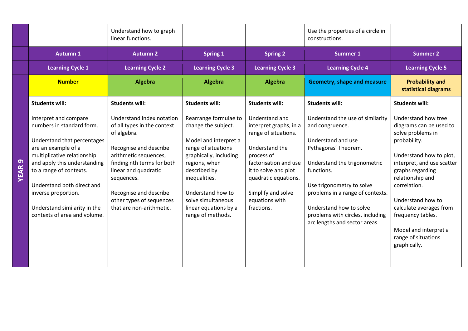|              |                                                                                                                                                                                                                                                                                                                         | Understand how to graph<br>linear functions.                                                                                                                                                                                                                                     |                                                                                                                                                                                                                                                                   |                                                                                                                                                                                                                                 | Use the properties of a circle in<br>constructions.                                                                                                                                                                                                                                                              |                                                                                                                                                                                                                                                                                                                                           |
|--------------|-------------------------------------------------------------------------------------------------------------------------------------------------------------------------------------------------------------------------------------------------------------------------------------------------------------------------|----------------------------------------------------------------------------------------------------------------------------------------------------------------------------------------------------------------------------------------------------------------------------------|-------------------------------------------------------------------------------------------------------------------------------------------------------------------------------------------------------------------------------------------------------------------|---------------------------------------------------------------------------------------------------------------------------------------------------------------------------------------------------------------------------------|------------------------------------------------------------------------------------------------------------------------------------------------------------------------------------------------------------------------------------------------------------------------------------------------------------------|-------------------------------------------------------------------------------------------------------------------------------------------------------------------------------------------------------------------------------------------------------------------------------------------------------------------------------------------|
|              | <b>Autumn 1</b>                                                                                                                                                                                                                                                                                                         | <b>Autumn 2</b>                                                                                                                                                                                                                                                                  | <b>Spring 1</b>                                                                                                                                                                                                                                                   | <b>Spring 2</b>                                                                                                                                                                                                                 | <b>Summer 1</b>                                                                                                                                                                                                                                                                                                  | <b>Summer 2</b>                                                                                                                                                                                                                                                                                                                           |
|              | <b>Learning Cycle 1</b>                                                                                                                                                                                                                                                                                                 | <b>Learning Cycle 2</b>                                                                                                                                                                                                                                                          | <b>Learning Cycle 3</b>                                                                                                                                                                                                                                           | <b>Learning Cycle 3</b>                                                                                                                                                                                                         | <b>Learning Cycle 4</b>                                                                                                                                                                                                                                                                                          | <b>Learning Cycle 5</b>                                                                                                                                                                                                                                                                                                                   |
|              | <b>Number</b>                                                                                                                                                                                                                                                                                                           | Algebra                                                                                                                                                                                                                                                                          | <b>Algebra</b>                                                                                                                                                                                                                                                    | Algebra                                                                                                                                                                                                                         | <b>Geometry, shape and measure</b>                                                                                                                                                                                                                                                                               | <b>Probability and</b><br>statistical diagrams                                                                                                                                                                                                                                                                                            |
|              | <b>Students will:</b>                                                                                                                                                                                                                                                                                                   | <b>Students will:</b>                                                                                                                                                                                                                                                            | <b>Students will:</b>                                                                                                                                                                                                                                             | <b>Students will:</b>                                                                                                                                                                                                           | <b>Students will:</b>                                                                                                                                                                                                                                                                                            | <b>Students will:</b>                                                                                                                                                                                                                                                                                                                     |
| <b>YEAR9</b> | Interpret and compare<br>numbers in standard form.<br>Understand that percentages<br>are an example of a<br>multiplicative relationship<br>and apply this understanding<br>to a range of contexts.<br>Understand both direct and<br>inverse proportion.<br>Understand similarity in the<br>contexts of area and volume. | Understand index notation<br>of all types in the context<br>of algebra.<br>Recognise and describe<br>arithmetic sequences,<br>finding nth terms for both<br>linear and quadratic<br>sequences.<br>Recognise and describe<br>other types of sequences<br>that are non-arithmetic. | Rearrange formulae to<br>change the subject.<br>Model and interpret a<br>range of situations<br>graphically, including<br>regions, when<br>described by<br>inequalities.<br>Understand how to<br>solve simultaneous<br>linear equations by a<br>range of methods. | Understand and<br>interpret graphs, in a<br>range of situations.<br>Understand the<br>process of<br>factorisation and use<br>it to solve and plot<br>quadratic equations.<br>Simplify and solve<br>equations with<br>fractions. | Understand the use of similarity<br>and congruence.<br>Understand and use<br>Pythagoras' Theorem.<br>Understand the trigonometric<br>functions.<br>Use trigonometry to solve<br>problems in a range of contexts.<br>Understand how to solve<br>problems with circles, including<br>arc lengths and sector areas. | Understand how tree<br>diagrams can be used to<br>solve problems in<br>probability.<br>Understand how to plot,<br>interpret, and use scatter<br>graphs regarding<br>relationship and<br>correlation.<br>Understand how to<br>calculate averages from<br>frequency tables.<br>Model and interpret a<br>range of situations<br>graphically. |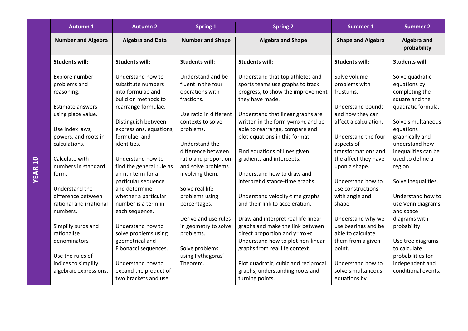| <b>Autumn 1</b>                                                                                                                   | <b>Autumn 2</b>                                                                                                                                                               | <b>Spring 1</b>                                                                                                                      | <b>Spring 2</b>                                                                                                                                                                                                                                                            | <b>Summer 1</b>                                                                                                                            | <b>Summer 2</b>                                                                                                                                 |
|-----------------------------------------------------------------------------------------------------------------------------------|-------------------------------------------------------------------------------------------------------------------------------------------------------------------------------|--------------------------------------------------------------------------------------------------------------------------------------|----------------------------------------------------------------------------------------------------------------------------------------------------------------------------------------------------------------------------------------------------------------------------|--------------------------------------------------------------------------------------------------------------------------------------------|-------------------------------------------------------------------------------------------------------------------------------------------------|
| <b>Number and Algebra</b>                                                                                                         | <b>Algebra and Data</b>                                                                                                                                                       | <b>Number and Shape</b>                                                                                                              | <b>Algebra and Shape</b>                                                                                                                                                                                                                                                   | <b>Shape and Algebra</b>                                                                                                                   | Algebra and<br>probability                                                                                                                      |
| <b>Students will:</b>                                                                                                             | <b>Students will:</b>                                                                                                                                                         | <b>Students will:</b>                                                                                                                | <b>Students will:</b>                                                                                                                                                                                                                                                      | <b>Students will:</b>                                                                                                                      | <b>Students will:</b>                                                                                                                           |
| Explore number<br>problems and<br>reasoning.<br>Estimate answers<br>using place value.<br>Use index laws,<br>powers, and roots in | Understand how to<br>substitute numbers<br>into formulae and<br>build on methods to<br>rearrange formulae.<br>Distinguish between<br>expressions, equations,<br>formulae, and | Understand and be<br>fluent in the four<br>operations with<br>fractions.<br>Use ratio in different<br>contexts to solve<br>problems. | Understand that top athletes and<br>sports teams use graphs to track<br>progress, to show the improvement<br>they have made.<br>Understand that linear graphs are<br>written in the form y=mx+c and be<br>able to rearrange, compare and<br>plot equations in this format. | Solve volume<br>problems with<br>frustums.<br><b>Understand bounds</b><br>and how they can<br>affect a calculation.<br>Understand the four | Solve quadratic<br>equations by<br>completing the<br>square and the<br>quadratic formula.<br>Solve simultaneous<br>equations<br>graphically and |
| calculations.                                                                                                                     | identities.                                                                                                                                                                   | Understand the<br>difference between                                                                                                 | Find equations of lines given                                                                                                                                                                                                                                              | aspects of<br>transformations and                                                                                                          | understand how<br>inequalities can be                                                                                                           |
| Calculate with<br>numbers in standard<br>form.                                                                                    | Understand how to<br>find the general rule as<br>an nth term for a                                                                                                            | ratio and proportion<br>and solve problems<br>involving them.                                                                        | gradients and intercepts.<br>Understand how to draw and                                                                                                                                                                                                                    | the affect they have<br>upon a shape.                                                                                                      | used to define a<br>region.                                                                                                                     |
| Understand the<br>difference between<br>rational and irrational<br>numbers.                                                       | particular sequence<br>and determine<br>whether a particular<br>number is a term in<br>each sequence.                                                                         | Solve real life<br>problems using<br>percentages.                                                                                    | interpret distance-time graphs.<br>Understand velocity-time graphs<br>and their link to acceleration.                                                                                                                                                                      | Understand how to<br>use constructions<br>with angle and<br>shape.                                                                         | Solve inequalities.<br>Understand how to<br>use Venn diagrams<br>and space                                                                      |
| Simplify surds and<br>rationalise<br>denominators<br>Use the rules of                                                             | Understand how to<br>solve problems using<br>geometrical and<br>Fibonacci sequences.                                                                                          | Derive and use rules<br>in geometry to solve<br>problems.<br>Solve problems<br>using Pythagoras'                                     | Draw and interpret real life linear<br>graphs and make the link between<br>direct proportion and y=mx+c<br>Understand how to plot non-linear<br>graphs from real life context.                                                                                             | Understand why we<br>use bearings and be<br>able to calculate<br>them from a given<br>point.                                               | diagrams with<br>probability.<br>Use tree diagrams<br>to calculate<br>probabilities for                                                         |
| indices to simplify<br>algebraic expressions.                                                                                     | Understand how to<br>expand the product of<br>two brackets and use                                                                                                            | Theorem.                                                                                                                             | Plot quadratic, cubic and reciprocal<br>graphs, understanding roots and<br>turning points.                                                                                                                                                                                 | Understand how to<br>solve simultaneous<br>equations by                                                                                    | independent and<br>conditional events.                                                                                                          |

**YEAR 10**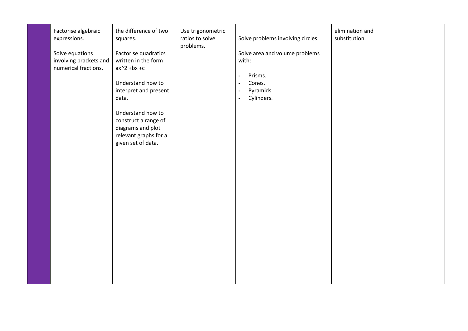| Factorise algebraic<br>expressions.<br>Solve equations<br>involving brackets and<br>numerical fractions. | the difference of two<br>squares.<br>Factorise quadratics<br>written in the form<br>$ax^2 + bx + c$<br>Understand how to<br>interpret and present<br>data.<br>Understand how to<br>construct a range of<br>diagrams and plot<br>relevant graphs for a<br>given set of data. | Use trigonometric<br>ratios to solve<br>problems. | Solve problems involving circles.<br>Solve area and volume problems<br>with:<br>Prisms.<br>$\blacksquare$<br>Cones.<br>$\blacksquare$<br>Pyramids.<br>$\sim$<br>Cylinders.<br>$\blacksquare$ | elimination and<br>substitution. |  |
|----------------------------------------------------------------------------------------------------------|-----------------------------------------------------------------------------------------------------------------------------------------------------------------------------------------------------------------------------------------------------------------------------|---------------------------------------------------|----------------------------------------------------------------------------------------------------------------------------------------------------------------------------------------------|----------------------------------|--|
|                                                                                                          |                                                                                                                                                                                                                                                                             |                                                   |                                                                                                                                                                                              |                                  |  |